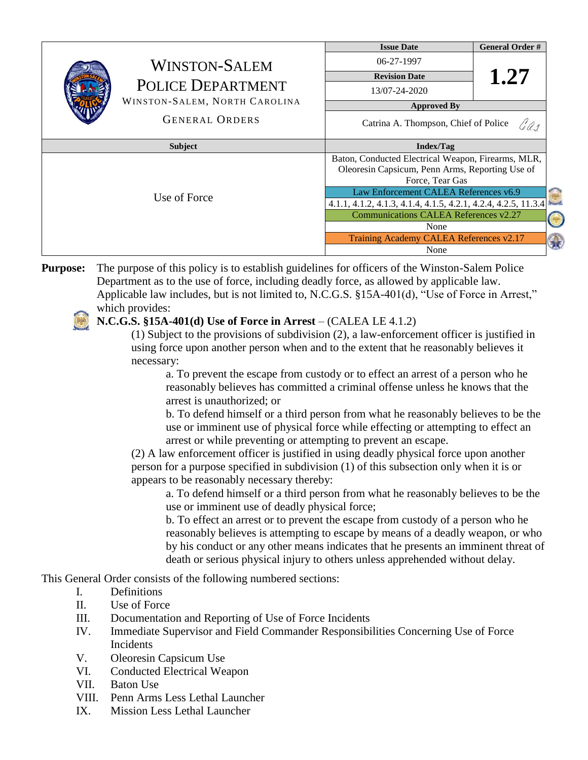|              |                                                                                   | <b>Issue Date</b>                                                                                                        | <b>General Order #</b> |        |
|--------------|-----------------------------------------------------------------------------------|--------------------------------------------------------------------------------------------------------------------------|------------------------|--------|
|              | <b>WINSTON-SALEM</b><br><b>POLICE DEPARTMENT</b><br>WINSTON-SALEM, NORTH CAROLINA | 06-27-1997                                                                                                               |                        |        |
|              |                                                                                   | <b>Revision Date</b>                                                                                                     | 1.27                   |        |
|              |                                                                                   | 13/07-24-2020                                                                                                            |                        |        |
|              |                                                                                   | <b>Approved By</b>                                                                                                       |                        |        |
|              | <b>GENERAL ORDERS</b>                                                             | Catrina A. Thompson, Chief of Police<br>Gas                                                                              |                        |        |
| Subject      |                                                                                   | <b>Index/Tag</b>                                                                                                         |                        |        |
| Use of Force |                                                                                   | Baton, Conducted Electrical Weapon, Firearms, MLR,<br>Oleoresin Capsicum, Penn Arms, Reporting Use of<br>Force, Tear Gas |                        |        |
|              |                                                                                   | Law Enforcement CALEA References v6.9                                                                                    |                        | ≏      |
|              |                                                                                   | 4.1.1, 4.1.2, 4.1.3, 4.1.4, 4.1.5, 4.2.1, 4.2.4, 4.2.5, 11.3.4                                                           |                        | $\sim$ |
|              |                                                                                   | Communications CALEA References v2.27                                                                                    |                        |        |
|              |                                                                                   | None                                                                                                                     |                        |        |
|              |                                                                                   | Training Academy CALEA References v2.17                                                                                  |                        | Q      |
|              |                                                                                   | None                                                                                                                     |                        |        |

**Purpose:** The purpose of this policy is to establish guidelines for officers of the Winston-Salem Police Department as to the use of force, including deadly force, as allowed by applicable law. Applicable law includes, but is not limited to, N.C.G.S. §15A-401(d), "Use of Force in Arrest," which provides:

#### **N.C.G.S. §15A-401(d) Use of Force in Arrest** – (CALEA LE 4.1.2)

(1) Subject to the provisions of subdivision (2), a law-enforcement officer is justified in using force upon another person when and to the extent that he reasonably believes it necessary:

a. To prevent the escape from custody or to effect an arrest of a person who he reasonably believes has committed a criminal offense unless he knows that the arrest is unauthorized; or

b. To defend himself or a third person from what he reasonably believes to be the use or imminent use of physical force while effecting or attempting to effect an arrest or while preventing or attempting to prevent an escape.

(2) A law enforcement officer is justified in using deadly physical force upon another person for a purpose specified in subdivision (1) of this subsection only when it is or appears to be reasonably necessary thereby:

a. To defend himself or a third person from what he reasonably believes to be the use or imminent use of deadly physical force;

b. To effect an arrest or to prevent the escape from custody of a person who he reasonably believes is attempting to escape by means of a deadly weapon, or who by his conduct or any other means indicates that he presents an imminent threat of death or serious physical injury to others unless apprehended without delay.

This General Order consists of the following numbered sections:

- I. Definitions
- II. Use of Force
- III. Documentation and Reporting of Use of Force Incidents
- IV. Immediate Supervisor and Field Commander Responsibilities Concerning Use of Force Incidents
- V. Oleoresin Capsicum Use
- VI. Conducted Electrical Weapon
- VII. Baton Use
- VIII. Penn Arms Less Lethal Launcher
- IX. Mission Less Lethal Launcher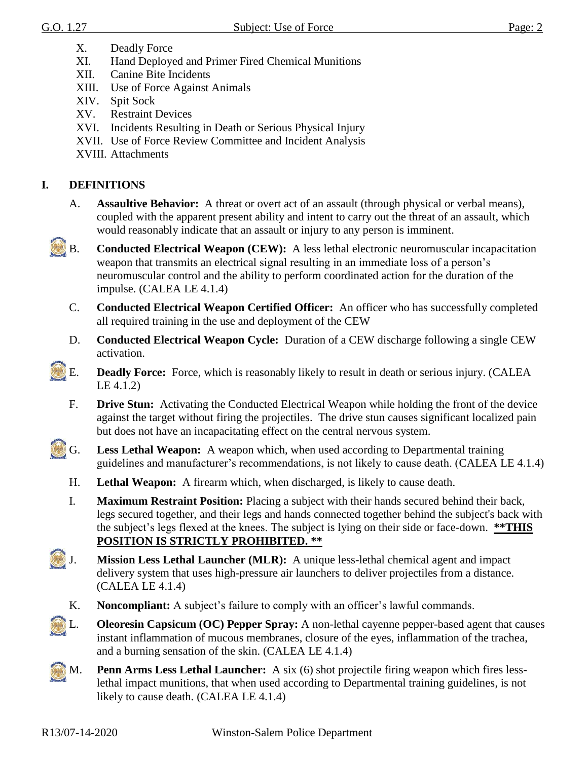- X. Deadly Force
- XI. Hand Deployed and Primer Fired Chemical Munitions
- XII. Canine Bite Incidents
- XIII. Use of Force Against Animals
- XIV. Spit Sock
- XV. Restraint Devices
- XVI. Incidents Resulting in Death or Serious Physical Injury
- XVII. Use of Force Review Committee and Incident Analysis
- XVIII. Attachments

# **I. DEFINITIONS**

- A. **Assaultive Behavior:** A threat or overt act of an assault (through physical or verbal means), coupled with the apparent present ability and intent to carry out the threat of an assault, which would reasonably indicate that an assault or injury to any person is imminent.
- B. **Conducted Electrical Weapon (CEW):** A less lethal electronic neuromuscular incapacitation weapon that transmits an electrical signal resulting in an immediate loss of a person's neuromuscular control and the ability to perform coordinated action for the duration of the impulse. (CALEA LE 4.1.4)
	- C. **Conducted Electrical Weapon Certified Officer:** An officer who has successfully completed all required training in the use and deployment of the CEW
	- D. **Conducted Electrical Weapon Cycle:** Duration of a CEW discharge following a single CEW activation.
	- E. **Deadly Force:** Force, which is reasonably likely to result in death or serious injury. (CALEA LE 4.1.2)
		- F. **Drive Stun:** Activating the Conducted Electrical Weapon while holding the front of the device against the target without firing the projectiles. The drive stun causes significant localized pain but does not have an incapacitating effect on the central nervous system.
- G. **Less Lethal Weapon:** A weapon which, when used according to Departmental training guidelines and manufacturer's recommendations, is not likely to cause death. (CALEA LE 4.1.4)
	- H. **Lethal Weapon:** A firearm which, when discharged, is likely to cause death.
	- I. **Maximum Restraint Position:** Placing a subject with their hands secured behind their back, legs secured together, and their legs and hands connected together behind the subject's back with the subject's legs flexed at the knees. The subject is lying on their side or face-down. **\*\*THIS POSITION IS STRICTLY PROHIBITED. \*\***
- J. **Mission Less Lethal Launcher (MLR):** A unique less-lethal chemical agent and impact delivery system that uses high-pressure air launchers to deliver projectiles from a distance. (CALEA LE 4.1.4)
	- K. **Noncompliant:** A subject's failure to comply with an officer's lawful commands.
- L. **Oleoresin Capsicum (OC) Pepper Spray:** A non-lethal cayenne pepper-based agent that causes instant inflammation of mucous membranes, closure of the eyes, inflammation of the trachea, and a burning sensation of the skin. (CALEA LE 4.1.4)
- M. **Penn Arms Less Lethal Launcher:** A six (6) shot projectile firing weapon which fires lesslethal impact munitions, that when used according to Departmental training guidelines, is not likely to cause death. (CALEA LE 4.1.4)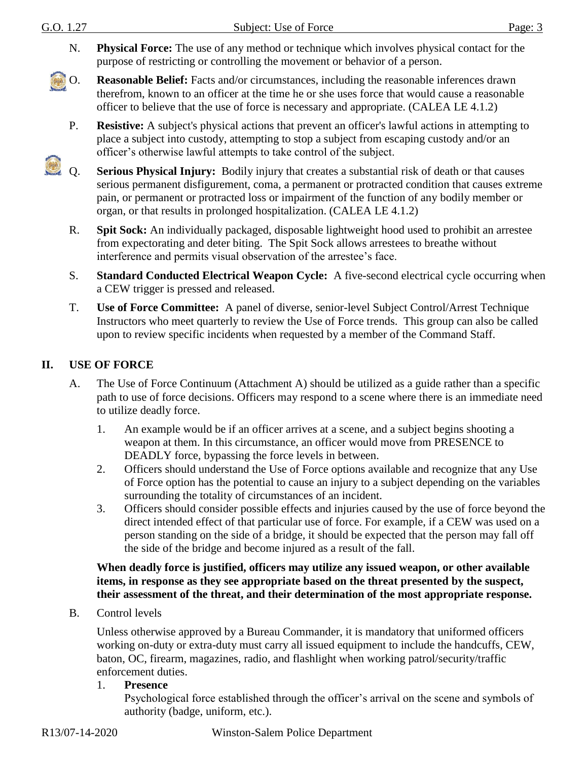- G.O. 1.27 Subject: Use of Force Page: 3 N. **Physical Force:** The use of any method or technique which involves physical contact for the purpose of restricting or controlling the movement or behavior of a person. O. **Reasonable Belief:** Facts and/or circumstances, including the reasonable inferences drawn therefrom, known to an officer at the time he or she uses force that would cause a reasonable officer to believe that the use of force is necessary and appropriate. (CALEA LE 4.1.2) P. **Resistive:** A subject's physical actions that prevent an officer's lawful actions in attempting to place a subject into custody, attempting to stop a subject from escaping custody and/or an officer's otherwise lawful attempts to take control of the subject.
- $\mathbb{C}$ Q. **Serious Physical Injury:** Bodily injury that creates a substantial risk of death or that causes serious permanent disfigurement, coma, a permanent or protracted condition that causes extreme pain, or permanent or protracted loss or impairment of the function of any bodily member or organ, or that results in prolonged hospitalization. (CALEA LE 4.1.2)
	- R. **Spit Sock:** An individually packaged, disposable lightweight hood used to prohibit an arrestee from expectorating and deter biting. The Spit Sock allows arrestees to breathe without interference and permits visual observation of the arrestee's face.
	- S. **Standard Conducted Electrical Weapon Cycle:** A five-second electrical cycle occurring when a CEW trigger is pressed and released.
	- T. **Use of Force Committee:** A panel of diverse, senior-level Subject Control/Arrest Technique Instructors who meet quarterly to review the Use of Force trends. This group can also be called upon to review specific incidents when requested by a member of the Command Staff.

### **II. USE OF FORCE**

- A. The Use of Force Continuum (Attachment A) should be utilized as a guide rather than a specific path to use of force decisions. Officers may respond to a scene where there is an immediate need to utilize deadly force.
	- 1. An example would be if an officer arrives at a scene, and a subject begins shooting a weapon at them. In this circumstance, an officer would move from PRESENCE to DEADLY force, bypassing the force levels in between.
	- 2. Officers should understand the Use of Force options available and recognize that any Use of Force option has the potential to cause an injury to a subject depending on the variables surrounding the totality of circumstances of an incident.
	- 3. Officers should consider possible effects and injuries caused by the use of force beyond the direct intended effect of that particular use of force. For example, if a CEW was used on a person standing on the side of a bridge, it should be expected that the person may fall off the side of the bridge and become injured as a result of the fall.

#### **When deadly force is justified, officers may utilize any issued weapon, or other available items, in response as they see appropriate based on the threat presented by the suspect, their assessment of the threat, and their determination of the most appropriate response.**

B. Control levels

Unless otherwise approved by a Bureau Commander, it is mandatory that uniformed officers working on-duty or extra-duty must carry all issued equipment to include the handcuffs, CEW, baton, OC, firearm, magazines, radio, and flashlight when working patrol/security/traffic enforcement duties.

#### 1. **Presence**

Psychological force established through the officer's arrival on the scene and symbols of authority (badge, uniform, etc.).

R13/07-14-2020 Winston-Salem Police Department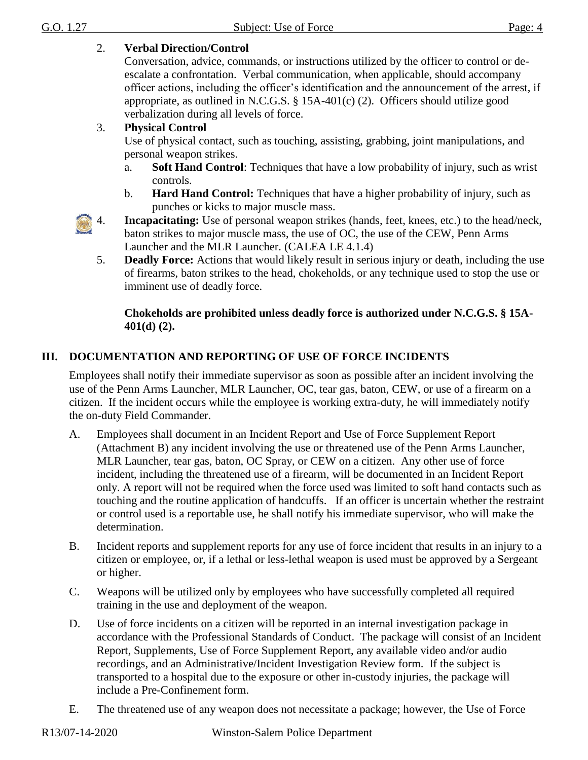### 2. **Verbal Direction/Control**

Conversation, advice, commands, or instructions utilized by the officer to control or deescalate a confrontation. Verbal communication, when applicable, should accompany officer actions, including the officer's identification and the announcement of the arrest, if appropriate, as outlined in N.C.G.S. § 15A-401(c) (2). Officers should utilize good verbalization during all levels of force.

### 3. **Physical Control**

Use of physical contact, such as touching, assisting, grabbing, joint manipulations, and personal weapon strikes.

- a. **Soft Hand Control**: Techniques that have a low probability of injury, such as wrist controls.
- b. **Hard Hand Control:** Techniques that have a higher probability of injury, such as punches or kicks to major muscle mass.

4. **Incapacitating:** Use of personal weapon strikes (hands, feet, knees, etc.) to the head/neck, baton strikes to major muscle mass, the use of OC, the use of the CEW, Penn Arms Launcher and the MLR Launcher. (CALEA LE 4.1.4)

5. **Deadly Force:** Actions that would likely result in serious injury or death, including the use of firearms, baton strikes to the head, chokeholds, or any technique used to stop the use or imminent use of deadly force.

### **Chokeholds are prohibited unless deadly force is authorized under N.C.G.S. § 15A-401(d) (2).**

# **III. DOCUMENTATION AND REPORTING OF USE OF FORCE INCIDENTS**

Employees shall notify their immediate supervisor as soon as possible after an incident involving the use of the Penn Arms Launcher, MLR Launcher, OC, tear gas, baton, CEW, or use of a firearm on a citizen. If the incident occurs while the employee is working extra-duty, he will immediately notify the on-duty Field Commander.

- A. Employees shall document in an Incident Report and Use of Force Supplement Report (Attachment B) any incident involving the use or threatened use of the Penn Arms Launcher, MLR Launcher, tear gas, baton, OC Spray, or CEW on a citizen. Any other use of force incident, including the threatened use of a firearm, will be documented in an Incident Report only. A report will not be required when the force used was limited to soft hand contacts such as touching and the routine application of handcuffs. If an officer is uncertain whether the restraint or control used is a reportable use, he shall notify his immediate supervisor, who will make the determination.
- B. Incident reports and supplement reports for any use of force incident that results in an injury to a citizen or employee, or, if a lethal or less-lethal weapon is used must be approved by a Sergeant or higher.
- C. Weapons will be utilized only by employees who have successfully completed all required training in the use and deployment of the weapon.
- D. Use of force incidents on a citizen will be reported in an internal investigation package in accordance with the Professional Standards of Conduct. The package will consist of an Incident Report, Supplements, Use of Force Supplement Report, any available video and/or audio recordings, and an Administrative/Incident Investigation Review form. If the subject is transported to a hospital due to the exposure or other in-custody injuries, the package will include a Pre-Confinement form.
- E. The threatened use of any weapon does not necessitate a package; however, the Use of Force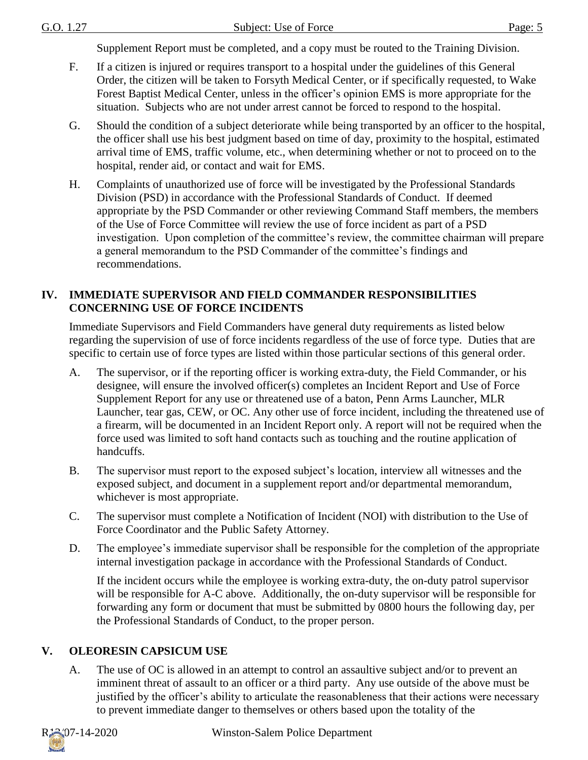Supplement Report must be completed, and a copy must be routed to the Training Division.

- F. If a citizen is injured or requires transport to a hospital under the guidelines of this General Order, the citizen will be taken to Forsyth Medical Center, or if specifically requested, to Wake Forest Baptist Medical Center, unless in the officer's opinion EMS is more appropriate for the situation. Subjects who are not under arrest cannot be forced to respond to the hospital.
- G. Should the condition of a subject deteriorate while being transported by an officer to the hospital, the officer shall use his best judgment based on time of day, proximity to the hospital, estimated arrival time of EMS, traffic volume, etc., when determining whether or not to proceed on to the hospital, render aid, or contact and wait for EMS.
- H. Complaints of unauthorized use of force will be investigated by the Professional Standards Division (PSD) in accordance with the Professional Standards of Conduct. If deemed appropriate by the PSD Commander or other reviewing Command Staff members, the members of the Use of Force Committee will review the use of force incident as part of a PSD investigation. Upon completion of the committee's review, the committee chairman will prepare a general memorandum to the PSD Commander of the committee's findings and recommendations.

#### **IV. IMMEDIATE SUPERVISOR AND FIELD COMMANDER RESPONSIBILITIES CONCERNING USE OF FORCE INCIDENTS**

Immediate Supervisors and Field Commanders have general duty requirements as listed below regarding the supervision of use of force incidents regardless of the use of force type. Duties that are specific to certain use of force types are listed within those particular sections of this general order.

- A. The supervisor, or if the reporting officer is working extra-duty, the Field Commander, or his designee, will ensure the involved officer(s) completes an Incident Report and Use of Force Supplement Report for any use or threatened use of a baton, Penn Arms Launcher, MLR Launcher, tear gas, CEW, or OC. Any other use of force incident, including the threatened use of a firearm, will be documented in an Incident Report only. A report will not be required when the force used was limited to soft hand contacts such as touching and the routine application of handcuffs.
- B. The supervisor must report to the exposed subject's location, interview all witnesses and the exposed subject, and document in a supplement report and/or departmental memorandum, whichever is most appropriate.
- C. The supervisor must complete a Notification of Incident (NOI) with distribution to the Use of Force Coordinator and the Public Safety Attorney.
- D. The employee's immediate supervisor shall be responsible for the completion of the appropriate internal investigation package in accordance with the Professional Standards of Conduct.

If the incident occurs while the employee is working extra-duty, the on-duty patrol supervisor will be responsible for A-C above. Additionally, the on-duty supervisor will be responsible for forwarding any form or document that must be submitted by 0800 hours the following day, per the Professional Standards of Conduct, to the proper person.

# **V. OLEORESIN CAPSICUM USE**

A. The use of OC is allowed in an attempt to control an assaultive subject and/or to prevent an imminent threat of assault to an officer or a third party. Any use outside of the above must be justified by the officer's ability to articulate the reasonableness that their actions were necessary to prevent immediate danger to themselves or others based upon the totality of the



R<sub>13</sub>/07-14-2020 Winston-Salem Police Department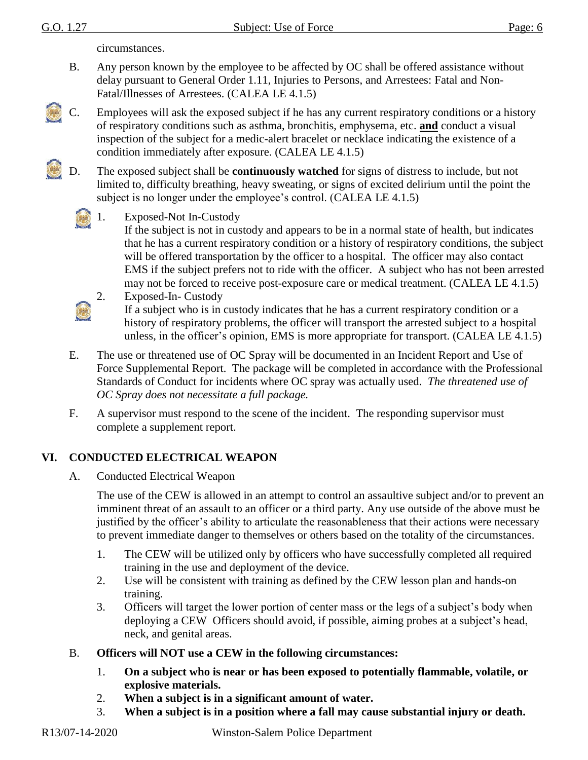circumstances.

- B. Any person known by the employee to be affected by OC shall be offered assistance without delay pursuant to General Order 1.11, Injuries to Persons, and Arrestees: Fatal and Non-Fatal/Illnesses of Arrestees. (CALEA LE 4.1.5)
- C. Employees will ask the exposed subject if he has any current respiratory conditions or a history of respiratory conditions such as asthma, bronchitis, emphysema, etc. **and** conduct a visual inspection of the subject for a medic-alert bracelet or necklace indicating the existence of a condition immediately after exposure. (CALEA LE 4.1.5)
	- D. The exposed subject shall be **continuously watched** for signs of distress to include, but not limited to, difficulty breathing, heavy sweating, or signs of excited delirium until the point the subject is no longer under the employee's control. (CALEA LE 4.1.5)



#### 1. Exposed-Not In-Custody

If the subject is not in custody and appears to be in a normal state of health, but indicates that he has a current respiratory condition or a history of respiratory conditions, the subject will be offered transportation by the officer to a hospital. The officer may also contact EMS if the subject prefers not to ride with the officer. A subject who has not been arrested may not be forced to receive post-exposure care or medical treatment. (CALEA LE 4.1.5) 2. Exposed-In- Custody



If a subject who is in custody indicates that he has a current respiratory condition or a history of respiratory problems, the officer will transport the arrested subject to a hospital unless, in the officer's opinion, EMS is more appropriate for transport. (CALEA LE 4.1.5)

- E. The use or threatened use of OC Spray will be documented in an Incident Report and Use of Force Supplemental Report. The package will be completed in accordance with the Professional Standards of Conduct for incidents where OC spray was actually used. *The threatened use of OC Spray does not necessitate a full package.*
- F. A supervisor must respond to the scene of the incident. The responding supervisor must complete a supplement report.

### **VI. CONDUCTED ELECTRICAL WEAPON**

A. Conducted Electrical Weapon

The use of the CEW is allowed in an attempt to control an assaultive subject and/or to prevent an imminent threat of an assault to an officer or a third party. Any use outside of the above must be justified by the officer's ability to articulate the reasonableness that their actions were necessary to prevent immediate danger to themselves or others based on the totality of the circumstances.

- 1. The CEW will be utilized only by officers who have successfully completed all required training in the use and deployment of the device.
- 2. Use will be consistent with training as defined by the CEW lesson plan and hands-on training.
- 3. Officers will target the lower portion of center mass or the legs of a subject's body when deploying a CEW Officers should avoid, if possible, aiming probes at a subject's head, neck, and genital areas.
- B. **Officers will NOT use a CEW in the following circumstances:**
	- 1. **On a subject who is near or has been exposed to potentially flammable, volatile, or explosive materials.**
	- 2. **When a subject is in a significant amount of water.**
	- 3. **When a subject is in a position where a fall may cause substantial injury or death.**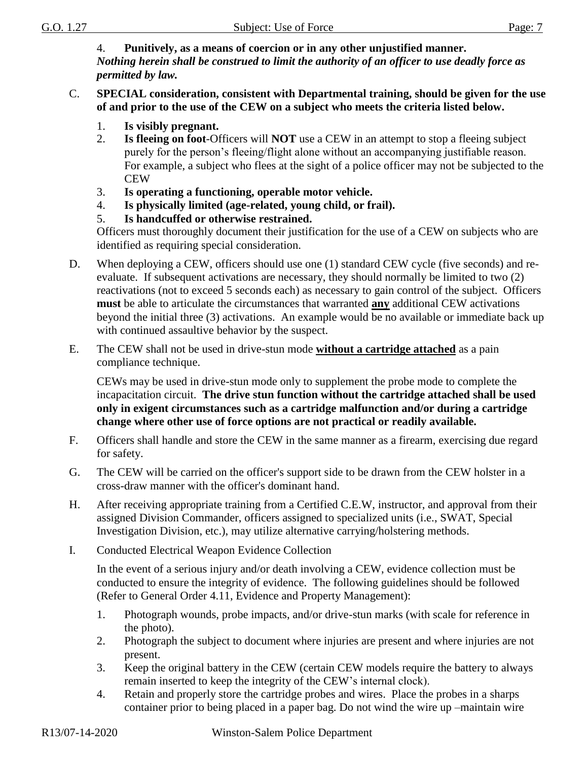4. **Punitively, as a means of coercion or in any other unjustified manner.** *Nothing herein shall be construed to limit the authority of an officer to use deadly force as permitted by law.*

#### C. **SPECIAL consideration, consistent with Departmental training, should be given for the use of and prior to the use of the CEW on a subject who meets the criteria listed below.**

- 1. **Is visibly pregnant.**
- 2. **Is fleeing on foot**-Officers will **NOT** use a CEW in an attempt to stop a fleeing subject purely for the person's fleeing/flight alone without an accompanying justifiable reason. For example, a subject who flees at the sight of a police officer may not be subjected to the CEW
- 3. **Is operating a functioning, operable motor vehicle.**
- 4. **Is physically limited (age-related, young child, or frail).**
- 5. **Is handcuffed or otherwise restrained.**

Officers must thoroughly document their justification for the use of a CEW on subjects who are identified as requiring special consideration.

- D. When deploying a CEW, officers should use one (1) standard CEW cycle (five seconds) and reevaluate. If subsequent activations are necessary, they should normally be limited to two (2) reactivations (not to exceed 5 seconds each) as necessary to gain control of the subject. Officers **must** be able to articulate the circumstances that warranted **any** additional CEW activations beyond the initial three (3) activations. An example would be no available or immediate back up with continued assaultive behavior by the suspect.
- E. The CEW shall not be used in drive-stun mode **without a cartridge attached** as a pain compliance technique.

CEWs may be used in drive-stun mode only to supplement the probe mode to complete the incapacitation circuit. **The drive stun function without the cartridge attached shall be used only in exigent circumstances such as a cartridge malfunction and/or during a cartridge change where other use of force options are not practical or readily available.**

- F. Officers shall handle and store the CEW in the same manner as a firearm, exercising due regard for safety.
- G. The CEW will be carried on the officer's support side to be drawn from the CEW holster in a cross-draw manner with the officer's dominant hand.
- H. After receiving appropriate training from a Certified C.E.W, instructor, and approval from their assigned Division Commander, officers assigned to specialized units (i.e., SWAT, Special Investigation Division, etc.), may utilize alternative carrying/holstering methods.
- I. Conducted Electrical Weapon Evidence Collection

In the event of a serious injury and/or death involving a CEW, evidence collection must be conducted to ensure the integrity of evidence. The following guidelines should be followed (Refer to General Order 4.11, Evidence and Property Management):

- 1. Photograph wounds, probe impacts, and/or drive-stun marks (with scale for reference in the photo).
- 2. Photograph the subject to document where injuries are present and where injuries are not present.
- 3. Keep the original battery in the CEW (certain CEW models require the battery to always remain inserted to keep the integrity of the CEW's internal clock).
- 4. Retain and properly store the cartridge probes and wires. Place the probes in a sharps container prior to being placed in a paper bag. Do not wind the wire up –maintain wire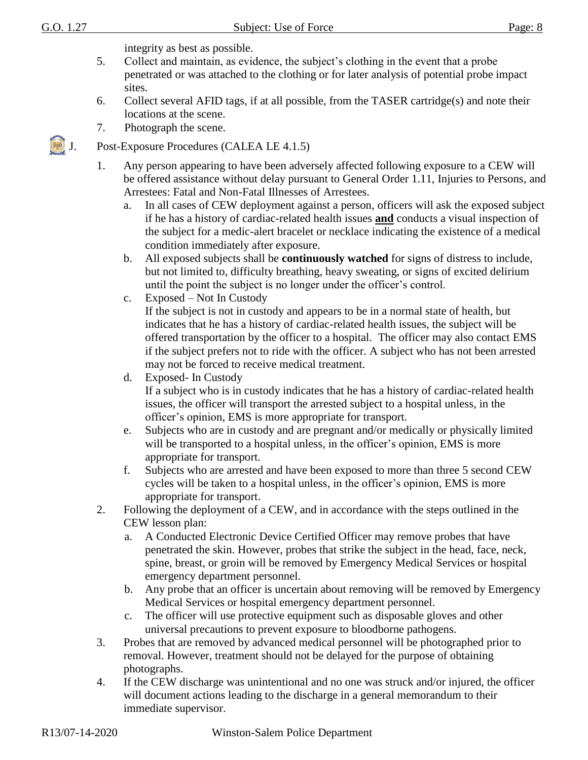integrity as best as possible.

- 5. Collect and maintain, as evidence, the subject's clothing in the event that a probe penetrated or was attached to the clothing or for later analysis of potential probe impact sites.
- 6. Collect several AFID tags, if at all possible, from the TASER cartridge(s) and note their locations at the scene.
- 7. Photograph the scene.
- J. Post-Exposure Procedures (CALEA LE 4.1.5)
	- 1. Any person appearing to have been adversely affected following exposure to a CEW will be offered assistance without delay pursuant to General Order 1.11, Injuries to Persons, and Arrestees: Fatal and Non-Fatal Illnesses of Arrestees.
		- a. In all cases of CEW deployment against a person, officers will ask the exposed subject if he has a history of cardiac-related health issues **and** conducts a visual inspection of the subject for a medic-alert bracelet or necklace indicating the existence of a medical condition immediately after exposure.
		- b. All exposed subjects shall be **continuously watched** for signs of distress to include, but not limited to, difficulty breathing, heavy sweating, or signs of excited delirium until the point the subject is no longer under the officer's control.
		- c. Exposed Not In Custody

If the subject is not in custody and appears to be in a normal state of health, but indicates that he has a history of cardiac-related health issues, the subject will be offered transportation by the officer to a hospital. The officer may also contact EMS if the subject prefers not to ride with the officer. A subject who has not been arrested may not be forced to receive medical treatment.

- d. Exposed- In Custody If a subject who is in custody indicates that he has a history of cardiac-related health issues, the officer will transport the arrested subject to a hospital unless, in the officer's opinion, EMS is more appropriate for transport.
- e. Subjects who are in custody and are pregnant and/or medically or physically limited will be transported to a hospital unless, in the officer's opinion, EMS is more appropriate for transport.
- f. Subjects who are arrested and have been exposed to more than three 5 second CEW cycles will be taken to a hospital unless, in the officer's opinion, EMS is more appropriate for transport.
- 2. Following the deployment of a CEW, and in accordance with the steps outlined in the CEW lesson plan:
	- a. A Conducted Electronic Device Certified Officer may remove probes that have penetrated the skin. However, probes that strike the subject in the head, face, neck, spine, breast, or groin will be removed by Emergency Medical Services or hospital emergency department personnel.
	- b. Any probe that an officer is uncertain about removing will be removed by Emergency Medical Services or hospital emergency department personnel.
	- c. The officer will use protective equipment such as disposable gloves and other universal precautions to prevent exposure to bloodborne pathogens.
- 3. Probes that are removed by advanced medical personnel will be photographed prior to removal. However, treatment should not be delayed for the purpose of obtaining photographs.
- 4. If the CEW discharge was unintentional and no one was struck and/or injured, the officer will document actions leading to the discharge in a general memorandum to their immediate supervisor.

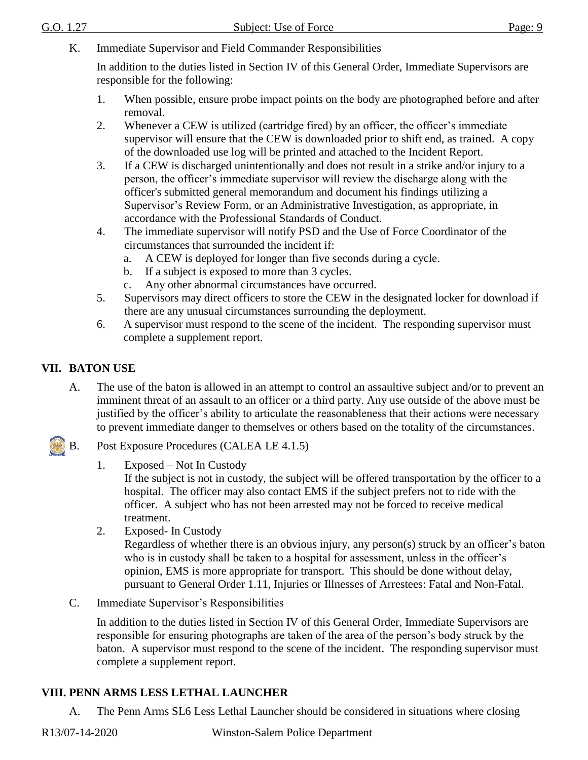K. Immediate Supervisor and Field Commander Responsibilities

In addition to the duties listed in Section IV of this General Order, Immediate Supervisors are responsible for the following:

- 1. When possible, ensure probe impact points on the body are photographed before and after removal.
- 2. Whenever a CEW is utilized (cartridge fired) by an officer, the officer's immediate supervisor will ensure that the CEW is downloaded prior to shift end, as trained. A copy of the downloaded use log will be printed and attached to the Incident Report.
- 3. If a CEW is discharged unintentionally and does not result in a strike and/or injury to a person, the officer's immediate supervisor will review the discharge along with the officer's submitted general memorandum and document his findings utilizing a Supervisor's Review Form, or an Administrative Investigation, as appropriate, in accordance with the Professional Standards of Conduct.
- 4. The immediate supervisor will notify PSD and the Use of Force Coordinator of the circumstances that surrounded the incident if:
	- a. A CEW is deployed for longer than five seconds during a cycle.
	- b. If a subject is exposed to more than 3 cycles.
	- c. Any other abnormal circumstances have occurred.
- 5. Supervisors may direct officers to store the CEW in the designated locker for download if there are any unusual circumstances surrounding the deployment.
- 6. A supervisor must respond to the scene of the incident. The responding supervisor must complete a supplement report.

### **VII. BATON USE**

- A. The use of the baton is allowed in an attempt to control an assaultive subject and/or to prevent an imminent threat of an assault to an officer or a third party. Any use outside of the above must be justified by the officer's ability to articulate the reasonableness that their actions were necessary to prevent immediate danger to themselves or others based on the totality of the circumstances.
- B. Post Exposure Procedures (CALEA LE 4.1.5)
	- 1. Exposed Not In Custody

If the subject is not in custody, the subject will be offered transportation by the officer to a hospital. The officer may also contact EMS if the subject prefers not to ride with the officer. A subject who has not been arrested may not be forced to receive medical treatment.

2. Exposed- In Custody

Regardless of whether there is an obvious injury, any person(s) struck by an officer's baton who is in custody shall be taken to a hospital for assessment, unless in the officer's opinion, EMS is more appropriate for transport. This should be done without delay, pursuant to General Order 1.11, Injuries or Illnesses of Arrestees: Fatal and Non-Fatal.

C. Immediate Supervisor's Responsibilities

In addition to the duties listed in Section IV of this General Order, Immediate Supervisors are responsible for ensuring photographs are taken of the area of the person's body struck by the baton. A supervisor must respond to the scene of the incident. The responding supervisor must complete a supplement report.

### **VIII. PENN ARMS LESS LETHAL LAUNCHER**

A. The Penn Arms SL6 Less Lethal Launcher should be considered in situations where closing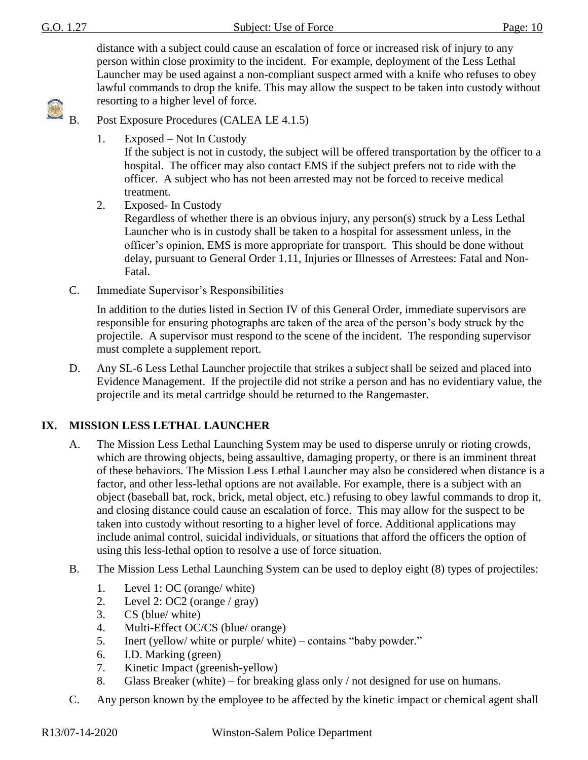distance with a subject could cause an escalation of force or increased risk of injury to any person within close proximity to the incident. For example, deployment of the Less Lethal Launcher may be used against a non-compliant suspect armed with a knife who refuses to obey lawful commands to drop the knife. This may allow the suspect to be taken into custody without resorting to a higher level of force.



Post Exposure Procedures (CALEA LE 4.1.5)

1. Exposed – Not In Custody

If the subject is not in custody, the subject will be offered transportation by the officer to a hospital. The officer may also contact EMS if the subject prefers not to ride with the officer. A subject who has not been arrested may not be forced to receive medical treatment.

2. Exposed- In Custody

Regardless of whether there is an obvious injury, any person(s) struck by a Less Lethal Launcher who is in custody shall be taken to a hospital for assessment unless, in the officer's opinion, EMS is more appropriate for transport. This should be done without delay, pursuant to General Order 1.11, Injuries or Illnesses of Arrestees: Fatal and Non-Fatal.

C. Immediate Supervisor's Responsibilities

In addition to the duties listed in Section IV of this General Order, immediate supervisors are responsible for ensuring photographs are taken of the area of the person's body struck by the projectile. A supervisor must respond to the scene of the incident. The responding supervisor must complete a supplement report.

D. Any SL-6 Less Lethal Launcher projectile that strikes a subject shall be seized and placed into Evidence Management. If the projectile did not strike a person and has no evidentiary value, the projectile and its metal cartridge should be returned to the Rangemaster.

# **IX. MISSION LESS LETHAL LAUNCHER**

- A. The Mission Less Lethal Launching System may be used to disperse unruly or rioting crowds, which are throwing objects, being assaultive, damaging property, or there is an imminent threat of these behaviors. The Mission Less Lethal Launcher may also be considered when distance is a factor, and other less-lethal options are not available. For example, there is a subject with an object (baseball bat, rock, brick, metal object, etc.) refusing to obey lawful commands to drop it, and closing distance could cause an escalation of force. This may allow for the suspect to be taken into custody without resorting to a higher level of force. Additional applications may include animal control, suicidal individuals, or situations that afford the officers the option of using this less-lethal option to resolve a use of force situation.
- B. The Mission Less Lethal Launching System can be used to deploy eight (8) types of projectiles:
	- 1. Level 1: OC (orange/ white)
	- 2. Level 2: OC2 (orange / gray)
	- 3. CS (blue/ white)
	- 4. Multi-Effect OC/CS (blue/ orange)
	- 5. Inert (yellow/ white or purple/ white) contains "baby powder."
	- 6. I.D. Marking (green)
	- 7. Kinetic Impact (greenish-yellow)
	- 8. Glass Breaker (white) for breaking glass only / not designed for use on humans.
- C. Any person known by the employee to be affected by the kinetic impact or chemical agent shall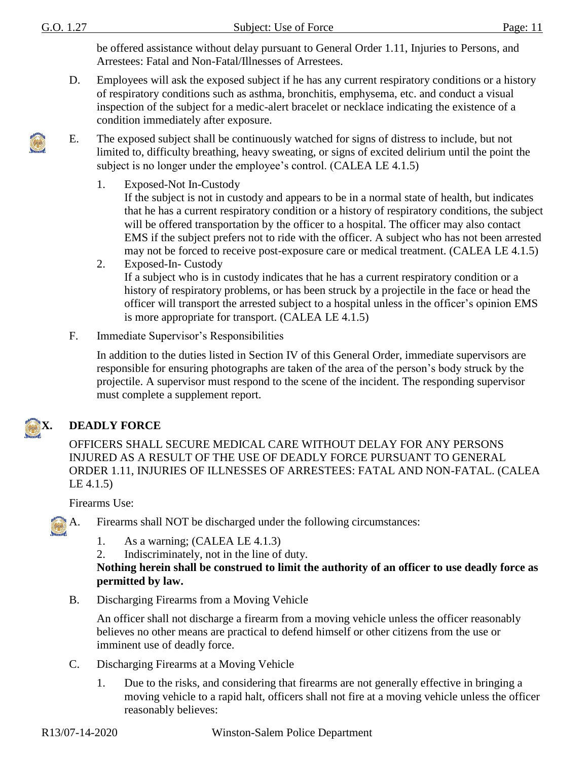be offered assistance without delay pursuant to General Order 1.11, Injuries to Persons, and Arrestees: Fatal and Non-Fatal/Illnesses of Arrestees.

- D. Employees will ask the exposed subject if he has any current respiratory conditions or a history of respiratory conditions such as asthma, bronchitis, emphysema, etc. and conduct a visual inspection of the subject for a medic-alert bracelet or necklace indicating the existence of a condition immediately after exposure.
- E. The exposed subject shall be continuously watched for signs of distress to include, but not limited to, difficulty breathing, heavy sweating, or signs of excited delirium until the point the subject is no longer under the employee's control. (CALEA LE 4.1.5)
	- 1. Exposed-Not In-Custody If the subject is not in custody and appears to be in a normal state of health, but indicates that he has a current respiratory condition or a history of respiratory conditions, the subject will be offered transportation by the officer to a hospital. The officer may also contact EMS if the subject prefers not to ride with the officer. A subject who has not been arrested may not be forced to receive post-exposure care or medical treatment. (CALEA LE 4.1.5)
	- 2. Exposed-In- Custody If a subject who is in custody indicates that he has a current respiratory condition or a history of respiratory problems, or has been struck by a projectile in the face or head the officer will transport the arrested subject to a hospital unless in the officer's opinion EMS is more appropriate for transport. (CALEA LE 4.1.5)
- F. Immediate Supervisor's Responsibilities

In addition to the duties listed in Section IV of this General Order, immediate supervisors are responsible for ensuring photographs are taken of the area of the person's body struck by the projectile. A supervisor must respond to the scene of the incident. The responding supervisor must complete a supplement report.



# **X. DEADLY FORCE**

OFFICERS SHALL SECURE MEDICAL CARE WITHOUT DELAY FOR ANY PERSONS INJURED AS A RESULT OF THE USE OF DEADLY FORCE PURSUANT TO GENERAL ORDER 1.11, INJURIES OF ILLNESSES OF ARRESTEES: FATAL AND NON-FATAL. (CALEA LE 4.1.5)

Firearms Use:



- A. Firearms shall NOT be discharged under the following circumstances:
	- 1. As a warning; (CALEA LE 4.1.3)
	- 2. Indiscriminately, not in the line of duty.

#### **Nothing herein shall be construed to limit the authority of an officer to use deadly force as permitted by law.**

B. Discharging Firearms from a Moving Vehicle

An officer shall not discharge a firearm from a moving vehicle unless the officer reasonably believes no other means are practical to defend himself or other citizens from the use or imminent use of deadly force.

- C. Discharging Firearms at a Moving Vehicle
	- 1. Due to the risks, and considering that firearms are not generally effective in bringing a moving vehicle to a rapid halt, officers shall not fire at a moving vehicle unless the officer reasonably believes: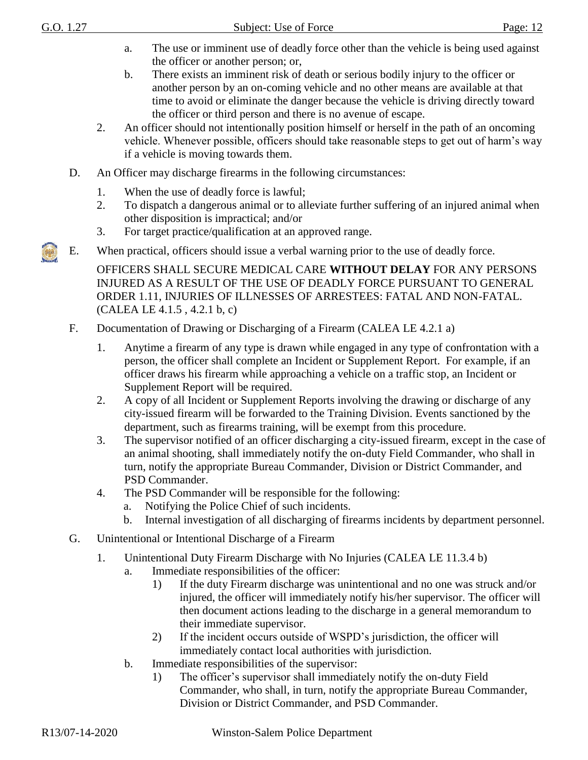- a. The use or imminent use of deadly force other than the vehicle is being used against the officer or another person; or,
- b. There exists an imminent risk of death or serious bodily injury to the officer or another person by an on-coming vehicle and no other means are available at that time to avoid or eliminate the danger because the vehicle is driving directly toward the officer or third person and there is no avenue of escape.
- 2. An officer should not intentionally position himself or herself in the path of an oncoming vehicle. Whenever possible, officers should take reasonable steps to get out of harm's way if a vehicle is moving towards them.
- D. An Officer may discharge firearms in the following circumstances:
	- 1. When the use of deadly force is lawful;
	- 2. To dispatch a dangerous animal or to alleviate further suffering of an injured animal when other disposition is impractical; and/or
	- 3. For target practice/qualification at an approved range.
- E. When practical, officers should issue a verbal warning prior to the use of deadly force.

OFFICERS SHALL SECURE MEDICAL CARE **WITHOUT DELAY** FOR ANY PERSONS INJURED AS A RESULT OF THE USE OF DEADLY FORCE PURSUANT TO GENERAL ORDER 1.11, INJURIES OF ILLNESSES OF ARRESTEES: FATAL AND NON-FATAL. (CALEA LE 4.1.5 , 4.2.1 b, c)

- F. Documentation of Drawing or Discharging of a Firearm (CALEA LE 4.2.1 a)
	- 1. Anytime a firearm of any type is drawn while engaged in any type of confrontation with a person, the officer shall complete an Incident or Supplement Report. For example, if an officer draws his firearm while approaching a vehicle on a traffic stop, an Incident or Supplement Report will be required.
	- 2. A copy of all Incident or Supplement Reports involving the drawing or discharge of any city-issued firearm will be forwarded to the Training Division. Events sanctioned by the department, such as firearms training, will be exempt from this procedure.
	- 3. The supervisor notified of an officer discharging a city-issued firearm, except in the case of an animal shooting, shall immediately notify the on-duty Field Commander, who shall in turn, notify the appropriate Bureau Commander, Division or District Commander, and PSD Commander.
	- 4. The PSD Commander will be responsible for the following:
		- a. Notifying the Police Chief of such incidents.
		- b. Internal investigation of all discharging of firearms incidents by department personnel.
- G. Unintentional or Intentional Discharge of a Firearm
	- 1. Unintentional Duty Firearm Discharge with No Injuries (CALEA LE 11.3.4 b)
		- a. Immediate responsibilities of the officer:
			- 1) If the duty Firearm discharge was unintentional and no one was struck and/or injured, the officer will immediately notify his/her supervisor. The officer will then document actions leading to the discharge in a general memorandum to their immediate supervisor.
			- 2) If the incident occurs outside of WSPD's jurisdiction, the officer will immediately contact local authorities with jurisdiction.
		- b. Immediate responsibilities of the supervisor:
			- 1) The officer's supervisor shall immediately notify the on-duty Field Commander, who shall, in turn, notify the appropriate Bureau Commander, Division or District Commander, and PSD Commander.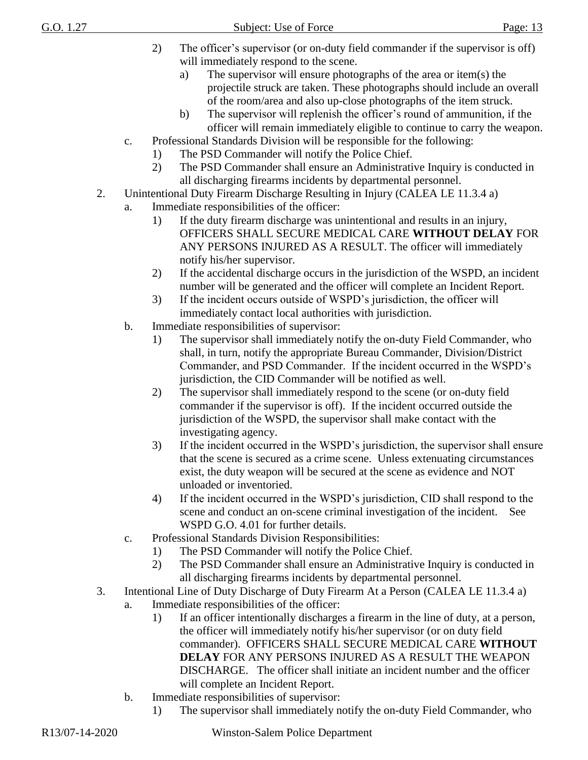- 2) The officer's supervisor (or on-duty field commander if the supervisor is off) will immediately respond to the scene.
	- a) The supervisor will ensure photographs of the area or item(s) the projectile struck are taken. These photographs should include an overall of the room/area and also up-close photographs of the item struck.
	- b) The supervisor will replenish the officer's round of ammunition, if the officer will remain immediately eligible to continue to carry the weapon.
- c. Professional Standards Division will be responsible for the following:
	- 1) The PSD Commander will notify the Police Chief.
	- 2) The PSD Commander shall ensure an Administrative Inquiry is conducted in all discharging firearms incidents by departmental personnel.
- 2. Unintentional Duty Firearm Discharge Resulting in Injury (CALEA LE 11.3.4 a)
	- a. Immediate responsibilities of the officer:
		- 1) If the duty firearm discharge was unintentional and results in an injury, OFFICERS SHALL SECURE MEDICAL CARE **WITHOUT DELAY** FOR ANY PERSONS INJURED AS A RESULT. The officer will immediately notify his/her supervisor.
		- 2) If the accidental discharge occurs in the jurisdiction of the WSPD, an incident number will be generated and the officer will complete an Incident Report.
		- 3) If the incident occurs outside of WSPD's jurisdiction, the officer will immediately contact local authorities with jurisdiction.
	- b. Immediate responsibilities of supervisor:
		- 1) The supervisor shall immediately notify the on-duty Field Commander, who shall, in turn, notify the appropriate Bureau Commander, Division/District Commander, and PSD Commander. If the incident occurred in the WSPD's jurisdiction, the CID Commander will be notified as well.
		- 2) The supervisor shall immediately respond to the scene (or on-duty field commander if the supervisor is off). If the incident occurred outside the jurisdiction of the WSPD, the supervisor shall make contact with the investigating agency.
		- 3) If the incident occurred in the WSPD's jurisdiction, the supervisor shall ensure that the scene is secured as a crime scene. Unless extenuating circumstances exist, the duty weapon will be secured at the scene as evidence and NOT unloaded or inventoried.
		- 4) If the incident occurred in the WSPD's jurisdiction, CID shall respond to the scene and conduct an on-scene criminal investigation of the incident. See WSPD G.O. 4.01 for further details.
	- c. Professional Standards Division Responsibilities:
		- 1) The PSD Commander will notify the Police Chief.
		- 2) The PSD Commander shall ensure an Administrative Inquiry is conducted in all discharging firearms incidents by departmental personnel.
- 3. Intentional Line of Duty Discharge of Duty Firearm At a Person (CALEA LE 11.3.4 a)
	- a. Immediate responsibilities of the officer:
		- 1) If an officer intentionally discharges a firearm in the line of duty, at a person, the officer will immediately notify his/her supervisor (or on duty field commander). OFFICERS SHALL SECURE MEDICAL CARE **WITHOUT DELAY** FOR ANY PERSONS INJURED AS A RESULT THE WEAPON DISCHARGE. The officer shall initiate an incident number and the officer will complete an Incident Report.
	- b. Immediate responsibilities of supervisor:
		- 1) The supervisor shall immediately notify the on-duty Field Commander, who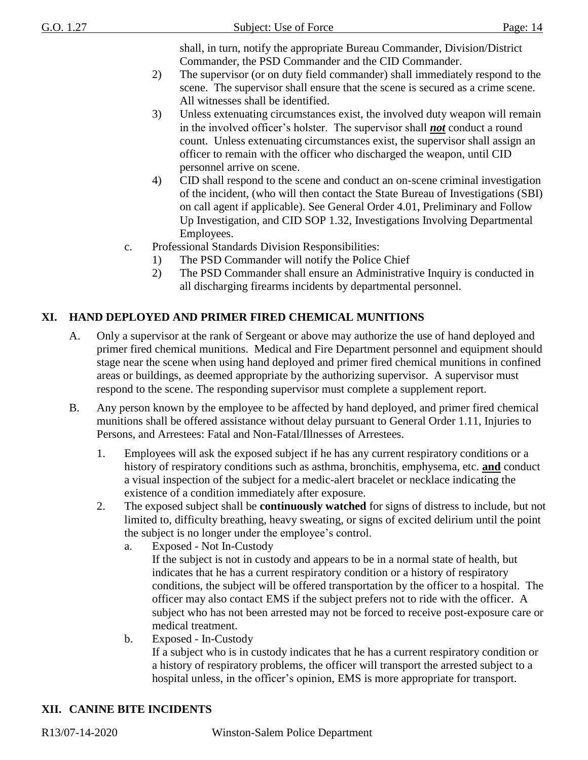shall, in turn, notify the appropriate Bureau Commander, Division/District Commander, the PSD Commander and the CID Commander.

- 2) The supervisor (or on duty field commander) shall immediately respond to the scene. The supervisor shall ensure that the scene is secured as a crime scene. All witnesses shall be identified.
- 3) Unless extenuating circumstances exist, the involved duty weapon will remain in the involved officer's holster. The supervisor shall *not* conduct a round count. Unless extenuating circumstances exist, the supervisor shall assign an officer to remain with the officer who discharged the weapon, until CID personnel arrive on scene.
- 4) CID shall respond to the scene and conduct an on-scene criminal investigation of the incident, (who will then contact the State Bureau of Investigations (SBI) on call agent if applicable). See General Order 4.01, Preliminary and Follow Up Investigation, and CID SOP 1.32, Investigations Involving Departmental Employees.
- c. Professional Standards Division Responsibilities:
	- 1) The PSD Commander will notify the Police Chief
	- 2) The PSD Commander shall ensure an Administrative Inquiry is conducted in all discharging firearms incidents by departmental personnel.

# **XI. HAND DEPLOYED AND PRIMER FIRED CHEMICAL MUNITIONS**

- A. Only a supervisor at the rank of Sergeant or above may authorize the use of hand deployed and primer fired chemical munitions. Medical and Fire Department personnel and equipment should stage near the scene when using hand deployed and primer fired chemical munitions in confined areas or buildings, as deemed appropriate by the authorizing supervisor. A supervisor must respond to the scene. The responding supervisor must complete a supplement report.
- B. Any person known by the employee to be affected by hand deployed, and primer fired chemical munitions shall be offered assistance without delay pursuant to General Order 1.11, Injuries to Persons, and Arrestees: Fatal and Non-Fatal/Illnesses of Arrestees.
	- 1. Employees will ask the exposed subject if he has any current respiratory conditions or a history of respiratory conditions such as asthma, bronchitis, emphysema, etc. **and** conduct a visual inspection of the subject for a medic-alert bracelet or necklace indicating the existence of a condition immediately after exposure.
	- 2. The exposed subject shall be **continuously watched** for signs of distress to include, but not limited to, difficulty breathing, heavy sweating, or signs of excited delirium until the point the subject is no longer under the employee's control.
		- a. Exposed Not In-Custody If the subject is not in custody and appears to be in a normal state of health, but indicates that he has a current respiratory condition or a history of respiratory conditions, the subject will be offered transportation by the officer to a hospital. The officer may also contact EMS if the subject prefers not to ride with the officer. A subject who has not been arrested may not be forced to receive post-exposure care or medical treatment.
		- b. Exposed In-Custody If a subject who is in custody indicates that he has a current respiratory condition or a history of respiratory problems, the officer will transport the arrested subject to a hospital unless, in the officer's opinion, EMS is more appropriate for transport.

# **XII. CANINE BITE INCIDENTS**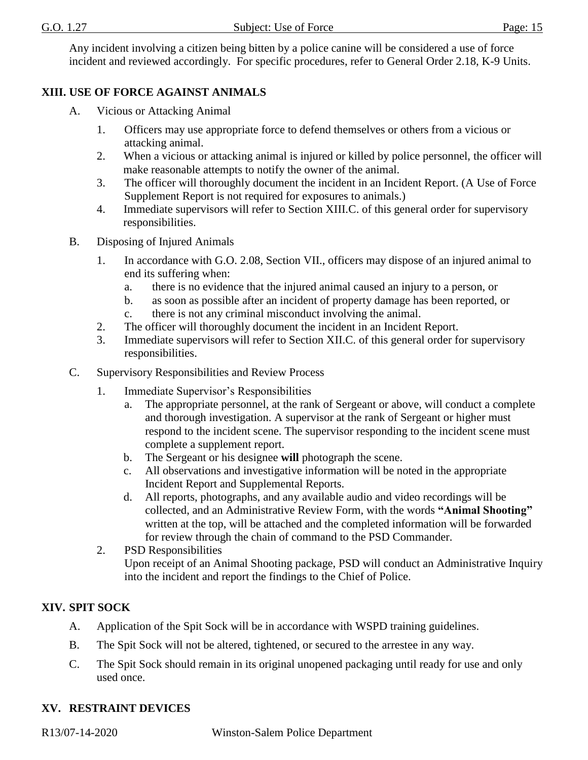Any incident involving a citizen being bitten by a police canine will be considered a use of force incident and reviewed accordingly. For specific procedures, refer to General Order 2.18, K-9 Units.

### **XIII. USE OF FORCE AGAINST ANIMALS**

- A. Vicious or Attacking Animal
	- 1. Officers may use appropriate force to defend themselves or others from a vicious or attacking animal.
	- 2. When a vicious or attacking animal is injured or killed by police personnel, the officer will make reasonable attempts to notify the owner of the animal.
	- 3. The officer will thoroughly document the incident in an Incident Report. (A Use of Force Supplement Report is not required for exposures to animals.)
	- 4. Immediate supervisors will refer to Section XIII.C. of this general order for supervisory responsibilities.
- B. Disposing of Injured Animals
	- 1. In accordance with G.O. 2.08, Section VII., officers may dispose of an injured animal to end its suffering when:
		- a. there is no evidence that the injured animal caused an injury to a person, or
		- b. as soon as possible after an incident of property damage has been reported, or
		- c. there is not any criminal misconduct involving the animal.
	- 2. The officer will thoroughly document the incident in an Incident Report.
	- 3. Immediate supervisors will refer to Section XII.C. of this general order for supervisory responsibilities.
- C. Supervisory Responsibilities and Review Process
	- 1. Immediate Supervisor's Responsibilities
		- a. The appropriate personnel, at the rank of Sergeant or above, will conduct a complete and thorough investigation. A supervisor at the rank of Sergeant or higher must respond to the incident scene. The supervisor responding to the incident scene must complete a supplement report.
		- b. The Sergeant or his designee **will** photograph the scene.
		- c. All observations and investigative information will be noted in the appropriate Incident Report and Supplemental Reports.
		- d. All reports, photographs, and any available audio and video recordings will be collected, and an Administrative Review Form, with the words **"Animal Shooting"** written at the top, will be attached and the completed information will be forwarded for review through the chain of command to the PSD Commander.
	- 2. PSD Responsibilities Upon receipt of an Animal Shooting package, PSD will conduct an Administrative Inquiry into the incident and report the findings to the Chief of Police.

# **XIV. SPIT SOCK**

- A. Application of the Spit Sock will be in accordance with WSPD training guidelines.
- B. The Spit Sock will not be altered, tightened, or secured to the arrestee in any way.
- C. The Spit Sock should remain in its original unopened packaging until ready for use and only used once.

### **XV. RESTRAINT DEVICES**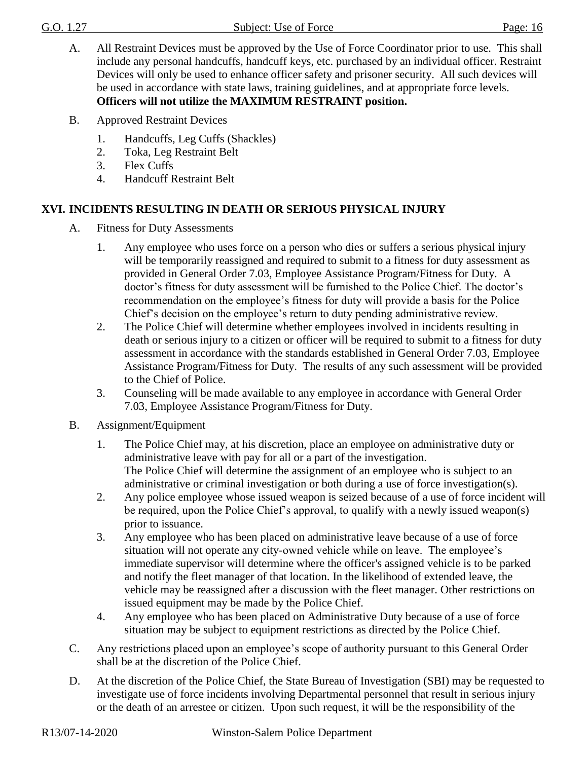- A. All Restraint Devices must be approved by the Use of Force Coordinator prior to use. This shall include any personal handcuffs, handcuff keys, etc. purchased by an individual officer. Restraint Devices will only be used to enhance officer safety and prisoner security. All such devices will be used in accordance with state laws, training guidelines, and at appropriate force levels. **Officers will not utilize the MAXIMUM RESTRAINT position.**
- B. Approved Restraint Devices
	- 1. Handcuffs, Leg Cuffs (Shackles)
	- 2. Toka, Leg Restraint Belt
	- 3. Flex Cuffs
	- 4. Handcuff Restraint Belt

### **XVI. INCIDENTS RESULTING IN DEATH OR SERIOUS PHYSICAL INJURY**

- A. Fitness for Duty Assessments
	- 1. Any employee who uses force on a person who dies or suffers a serious physical injury will be temporarily reassigned and required to submit to a fitness for duty assessment as provided in General Order 7.03, Employee Assistance Program/Fitness for Duty. A doctor's fitness for duty assessment will be furnished to the Police Chief. The doctor's recommendation on the employee's fitness for duty will provide a basis for the Police Chief's decision on the employee's return to duty pending administrative review.
	- 2. The Police Chief will determine whether employees involved in incidents resulting in death or serious injury to a citizen or officer will be required to submit to a fitness for duty assessment in accordance with the standards established in General Order 7.03, Employee Assistance Program/Fitness for Duty. The results of any such assessment will be provided to the Chief of Police.
	- 3. Counseling will be made available to any employee in accordance with General Order 7.03, Employee Assistance Program/Fitness for Duty.
- B. Assignment/Equipment
	- 1. The Police Chief may, at his discretion, place an employee on administrative duty or administrative leave with pay for all or a part of the investigation. The Police Chief will determine the assignment of an employee who is subject to an administrative or criminal investigation or both during a use of force investigation(s).
	- 2. Any police employee whose issued weapon is seized because of a use of force incident will be required, upon the Police Chief's approval, to qualify with a newly issued weapon(s) prior to issuance.
	- 3. Any employee who has been placed on administrative leave because of a use of force situation will not operate any city-owned vehicle while on leave. The employee's immediate supervisor will determine where the officer's assigned vehicle is to be parked and notify the fleet manager of that location. In the likelihood of extended leave, the vehicle may be reassigned after a discussion with the fleet manager. Other restrictions on issued equipment may be made by the Police Chief.
	- 4. Any employee who has been placed on Administrative Duty because of a use of force situation may be subject to equipment restrictions as directed by the Police Chief.
- C. Any restrictions placed upon an employee's scope of authority pursuant to this General Order shall be at the discretion of the Police Chief.
- D. At the discretion of the Police Chief, the State Bureau of Investigation (SBI) may be requested to investigate use of force incidents involving Departmental personnel that result in serious injury or the death of an arrestee or citizen. Upon such request, it will be the responsibility of the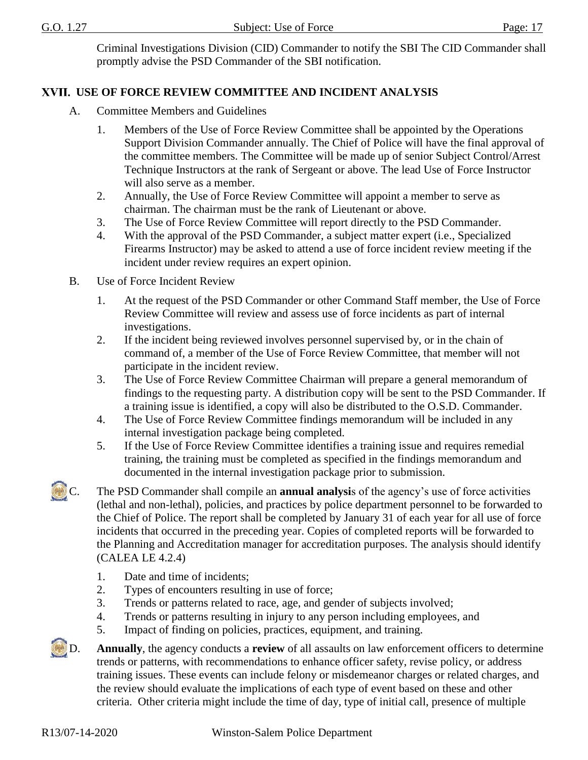Criminal Investigations Division (CID) Commander to notify the SBI The CID Commander shall promptly advise the PSD Commander of the SBI notification.

### **USE OF FORCE REVIEW COMMITTEE AND INCIDENT ANALYSIS**

- A. Committee Members and Guidelines
	- 1. Members of the Use of Force Review Committee shall be appointed by the Operations Support Division Commander annually. The Chief of Police will have the final approval of the committee members. The Committee will be made up of senior Subject Control/Arrest Technique Instructors at the rank of Sergeant or above. The lead Use of Force Instructor will also serve as a member.
	- 2. Annually, the Use of Force Review Committee will appoint a member to serve as chairman. The chairman must be the rank of Lieutenant or above.
	- 3. The Use of Force Review Committee will report directly to the PSD Commander.
	- 4. With the approval of the PSD Commander, a subject matter expert (i.e., Specialized Firearms Instructor) may be asked to attend a use of force incident review meeting if the incident under review requires an expert opinion.
- B. Use of Force Incident Review
	- 1. At the request of the PSD Commander or other Command Staff member, the Use of Force Review Committee will review and assess use of force incidents as part of internal investigations.
	- 2. If the incident being reviewed involves personnel supervised by, or in the chain of command of, a member of the Use of Force Review Committee, that member will not participate in the incident review.
	- 3. The Use of Force Review Committee Chairman will prepare a general memorandum of findings to the requesting party. A distribution copy will be sent to the PSD Commander. If a training issue is identified, a copy will also be distributed to the O.S.D. Commander.
	- 4. The Use of Force Review Committee findings memorandum will be included in any internal investigation package being completed.
	- 5. If the Use of Force Review Committee identifies a training issue and requires remedial training, the training must be completed as specified in the findings memorandum and documented in the internal investigation package prior to submission.
- C. The PSD Commander shall compile an **annual analysi**s of the agency's use of force activities (lethal and non-lethal), policies, and practices by police department personnel to be forwarded to the Chief of Police. The report shall be completed by January 31 of each year for all use of force incidents that occurred in the preceding year. Copies of completed reports will be forwarded to the Planning and Accreditation manager for accreditation purposes. The analysis should identify (CALEA LE 4.2.4)
	- 1. Date and time of incidents;
	- 2. Types of encounters resulting in use of force;
	- 3. Trends or patterns related to race, age, and gender of subjects involved;
	- 4. Trends or patterns resulting in injury to any person including employees, and
	- 5. Impact of finding on policies, practices, equipment, and training.
- D. **Annually**, the agency conducts a **[review](javascript:standardsMaster.SelectTreeNode(11251200);)** of all assaults on law enforcement officers to determine trends or patterns, with recommendations to enhance officer safety, revise [policy,](javascript:standardsMaster.SelectTreeNode(11251172);) or address training issues. These events can include felony or misdemeanor charges or related charges, and the [review](javascript:standardsMaster.SelectTreeNode(11251200);) should evaluate the implications of each type of event based on these and other criteria. Other criteria might include the time of day, type of initial call, presence of multiple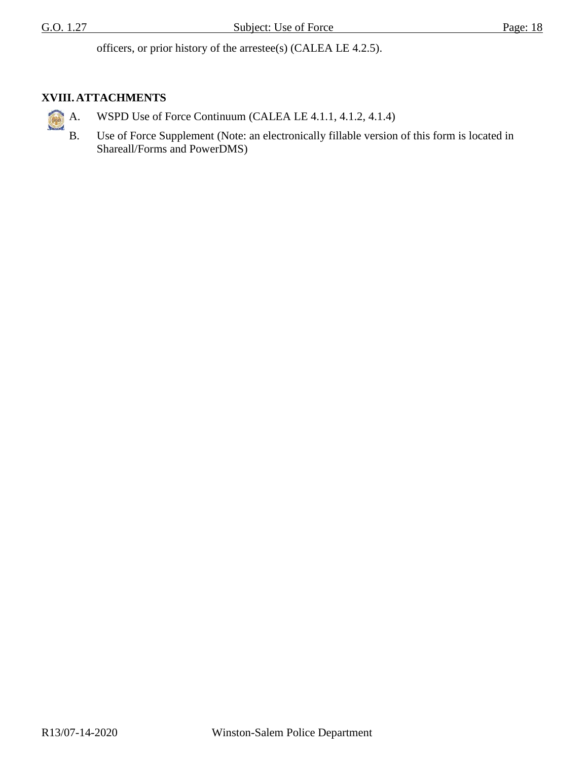officers, or prior history of the arrestee(s) (CALEA LE 4.2.5).

# **XVIII. ATTACHMENTS**

- A. WSPD Use of Force Continuum (CALEA LE 4.1.1, 4.1.2, 4.1.4)
	- B. Use of Force Supplement (Note: an electronically fillable version of this form is located in Shareall/Forms and PowerDMS)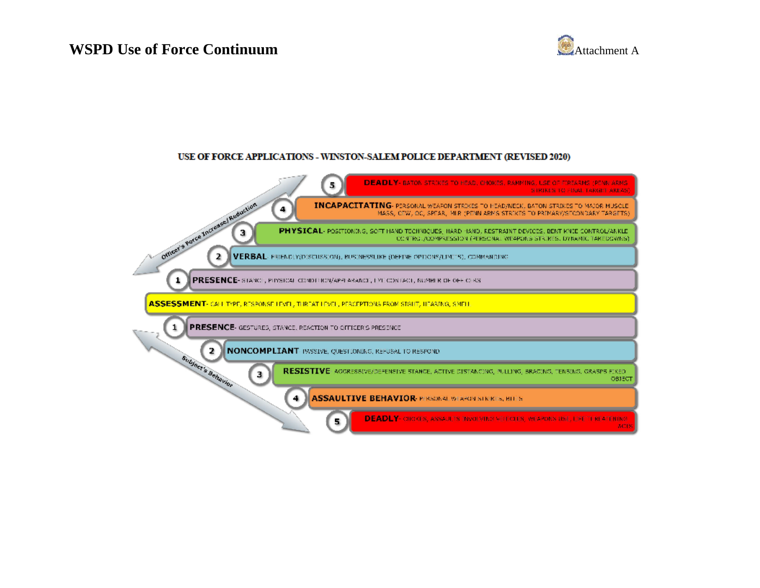# **WSPD Use of Force Continuum** Attachment A



#### USE OF FORCE APPLICATIONS - WINSTON-SALEM POLICE DEPARTMENT (REVISED 2020)

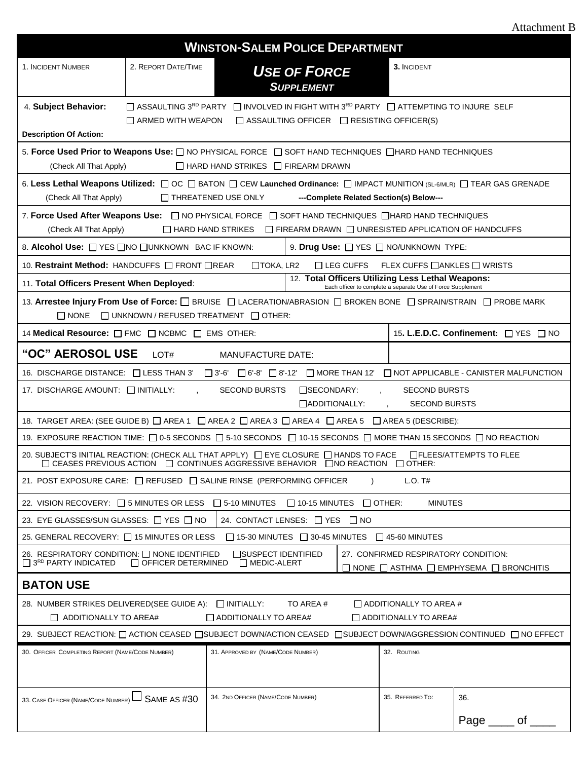| <b>Attachment B</b> |
|---------------------|
|---------------------|

| <b>WINSTON-SALEM POLICE DEPARTMENT</b>                                                                                                                                                                                                                            |                                                                                                  |                                               |                                                                                                               |                                                             |                                                                                                                         |
|-------------------------------------------------------------------------------------------------------------------------------------------------------------------------------------------------------------------------------------------------------------------|--------------------------------------------------------------------------------------------------|-----------------------------------------------|---------------------------------------------------------------------------------------------------------------|-------------------------------------------------------------|-------------------------------------------------------------------------------------------------------------------------|
| 1. INCIDENT NUMBER                                                                                                                                                                                                                                                | 2. REPORT DATE/TIME                                                                              |                                               | <b>USE OF FORCE</b><br><b>SUPPLEMENT</b>                                                                      | 3. INCIDENT                                                 |                                                                                                                         |
| 4. Subject Behavior:                                                                                                                                                                                                                                              |                                                                                                  |                                               | □ ASSAULTING 3 <sup>RD</sup> PARTY □ INVOLVED IN FIGHT WITH 3 <sup>RD</sup> PARTY □ ATTEMPTING TO INJURE SELF |                                                             |                                                                                                                         |
| <b>Description Of Action:</b>                                                                                                                                                                                                                                     | $\Box$ ARMED WITH WEAPON                                                                         |                                               | $\Box$ ASSAULTING OFFICER $\Box$ RESISTING OFFICER(S)                                                         |                                                             |                                                                                                                         |
| 5. Force Used Prior to Weapons Use: $\Box$ NO PHYSICAL FORCE $\Box$ SOFT HAND TECHNIQUES $\Box$ HARD HAND TECHNIQUES                                                                                                                                              |                                                                                                  |                                               |                                                                                                               |                                                             |                                                                                                                         |
| (Check All That Apply)                                                                                                                                                                                                                                            |                                                                                                  | $\Box$ HARD HAND STRIKES $\Box$ FIREARM DRAWN |                                                                                                               |                                                             |                                                                                                                         |
| 6. Less Lethal Weapons Utilized: $\Box$ OC $\Box$ BATON $\Box$ CEW Launched Ordinance: $\Box$ IMPACT MUNITION (SL-6/MLR) $\Box$ TEAR GAS GRENADE<br>(Check All That Apply)                                                                                        |                                                                                                  | THREATENED USE ONLY                           | ---Complete Related Section(s) Below---                                                                       |                                                             |                                                                                                                         |
| 7. Force Used After Weapons Use: $\Box$ NO PHYSICAL FORCE $\Box$ SOFT HAND TECHNIQUES $\Box$ HARD HAND TECHNIQUES<br>(Check All That Apply)                                                                                                                       |                                                                                                  | $\Box$ HARD HAND STRIKES                      | $\Box$ FIREARM DRAWN $\Box$ UNRESISTED APPLICATION OF HANDCUFFS                                               |                                                             |                                                                                                                         |
| 8. Alcohol Use: $\Box$ YES $\Box$ NO $\Box$ UNKNOWN BAC IF KNOWN:                                                                                                                                                                                                 |                                                                                                  |                                               | 9. Drug Use: <a>[/&gt; YES<br/> <a>[/&gt; NO/UNKNOWN TYPE:</a></a>                                            |                                                             |                                                                                                                         |
| 10. Restraint Method: HANDCUFFS <b>FRONT REAR</b>                                                                                                                                                                                                                 |                                                                                                  | $\Box$ TOKA, LR2                              | $\Box$ LEG CUFFS                                                                                              | FLEX CUFFS $\Box$ ANKLES $\Box$ WRISTS                      |                                                                                                                         |
| 11. Total Officers Present When Deployed:                                                                                                                                                                                                                         |                                                                                                  |                                               | 12. Total Officers Utilizing Less Lethal Weapons:                                                             | Each officer to complete a separate Use of Force Supplement |                                                                                                                         |
| 13. Arrestee Injury From Use of Force: <b>BRUISE DI LACERATION/ABRASION DI BROKEN BONE DI SPRAIN/STRAIN DI PROBE MARK</b><br>$\Box$ UNKNOWN / REFUSED TREATMENT $\Box$ OTHER:<br>$\Box$ None                                                                      |                                                                                                  |                                               |                                                                                                               |                                                             |                                                                                                                         |
| 14 Medical Resource: $\Box$ FMC $\Box$ NCBMC $\Box$ EMS OTHER:                                                                                                                                                                                                    |                                                                                                  |                                               |                                                                                                               |                                                             | 15. L.E.D.C. Confinement: □ YES □ NO                                                                                    |
| "OC" AEROSOL USE                                                                                                                                                                                                                                                  | LOT#                                                                                             | <b>MANUFACTURE DATE:</b>                      |                                                                                                               |                                                             |                                                                                                                         |
|                                                                                                                                                                                                                                                                   |                                                                                                  |                                               |                                                                                                               |                                                             | 16. DISCHARGE DISTANCE: □ LESS THAN 3' □ 3'-6' □ 6'-8' □ 8'-12' □ MORE THAN 12' □ NOT APPLICABLE - CANISTER MALFUNCTION |
| 17. DISCHARGE AMOUNT: INITIALLY:<br><b>SECOND BURSTS</b><br>$\square$ SECONDARY:<br><b>SECOND BURSTS</b><br>ADDITIONALLY:<br><b>SECOND BURSTS</b>                                                                                                                 |                                                                                                  |                                               |                                                                                                               |                                                             |                                                                                                                         |
|                                                                                                                                                                                                                                                                   | 18. TARGET AREA: (SEE GUIDE B) □ AREA 1 □ AREA 2 □ AREA 3 □ AREA 4 □ AREA 5 □ AREA 5 (DESCRIBE): |                                               |                                                                                                               |                                                             |                                                                                                                         |
| 19. EXPOSURE REACTION TIME: □ 0-5 SECONDS □ 5-10 SECONDS □ 10-15 SECONDS □ MORE THAN 15 SECONDS □ NO REACTION                                                                                                                                                     |                                                                                                  |                                               |                                                                                                               |                                                             |                                                                                                                         |
| 20. SUBJECT'S INITIAL REACTION: (CHECK ALL THAT APPLY) □ EYE CLOSURE □ HANDS TO FACE □ FLEES/ATTEMPTS TO FLEE                                                                                                                                                     |                                                                                                  |                                               | $\Box$ CEASES PREVIOUS ACTION $\Box$ CONTINUES AGGRESSIVE BEHAVIOR $\Box$ NO REACTION $\Box$ OTHER:           |                                                             |                                                                                                                         |
| 21. POST EXPOSURE CARE: $\Box$ REFUSED $\Box$ SALINE RINSE (PERFORMING OFFICER<br>$L.O.$ T#                                                                                                                                                                       |                                                                                                  |                                               |                                                                                                               |                                                             |                                                                                                                         |
| 22. VISION RECOVERY: □ 5 MINUTES OR LESS<br>$\Box$ 5-10 MINUTES<br>$\Box$ 10-15 MINUTES<br>$\Box$ OTHER:<br><b>MINUTES</b>                                                                                                                                        |                                                                                                  |                                               |                                                                                                               |                                                             |                                                                                                                         |
| 23. EYE GLASSES/SUN GLASSES: □ YES □ NO<br>24. CONTACT LENSES: □ YES □ NO                                                                                                                                                                                         |                                                                                                  |                                               |                                                                                                               |                                                             |                                                                                                                         |
| 25. GENERAL RECOVERY: □ 15 MINUTES OR LESS<br>$\Box$ 15-30 MINUTES $\Box$ 30-45 MINUTES<br>$\Box$ 45-60 MINUTES                                                                                                                                                   |                                                                                                  |                                               |                                                                                                               |                                                             |                                                                                                                         |
| 26. RESPIRATORY CONDITION: □ NONE IDENTIFIED<br>□SUSPECT IDENTIFIED<br>27. CONFIRMED RESPIRATORY CONDITION:<br>$\Box$ 3 <sup>RD</sup> PARTY INDICATED<br>OFFICER DETERMINED<br>$\Box$ MEDIC-ALERT<br>$\Box$ NONE $\Box$ ASTHMA $\Box$ EMPHYSEMA $\Box$ BRONCHITIS |                                                                                                  |                                               |                                                                                                               |                                                             |                                                                                                                         |
| <b>BATON USE</b>                                                                                                                                                                                                                                                  |                                                                                                  |                                               |                                                                                                               |                                                             |                                                                                                                         |
| 28. NUMBER STRIKES DELIVERED(SEE GUIDE A): □ INITIALLY:<br>TO AREA#<br>$\Box$ ADDITIONALLY TO AREA #                                                                                                                                                              |                                                                                                  |                                               |                                                                                                               |                                                             |                                                                                                                         |
| $\Box$ ADDITIONALLY TO AREA#<br>$\Box$ ADDITIONALLY TO AREA#<br>$\Box$ ADDITIONALLY TO AREA#                                                                                                                                                                      |                                                                                                  |                                               |                                                                                                               |                                                             |                                                                                                                         |
| 29. SUBJECT REACTION: □ ACTION CEASED □SUBJECT DOWN/ACTION CEASED □SUBJECT DOWN/AGGRESSION CONTINUED □ NO EFFECT                                                                                                                                                  |                                                                                                  |                                               |                                                                                                               |                                                             |                                                                                                                         |
| 30. OFFICER COMPLETING REPORT (NAME/CODE NUMBER)                                                                                                                                                                                                                  |                                                                                                  | 31. APPROVED BY (NAME/CODE NUMBER)            |                                                                                                               | 32. ROUTING                                                 |                                                                                                                         |
| 33. CASE OFFICER (NAME/CODE NUMBER) L SAME AS #30                                                                                                                                                                                                                 |                                                                                                  | 34. 2ND OFFICER (NAME/CODE NUMBER)            |                                                                                                               | 35. REFERRED TO:                                            | 36.<br>Page<br>οf                                                                                                       |